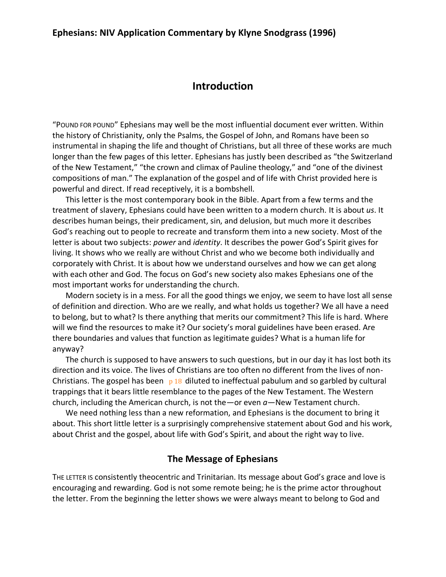## **Ephesians: NIV Application Commentary by Klyne Snodgrass (1996)**

# **Introduction**

"POUND FOR POUND" Ephesians may well be the most influential document ever written. Within the history of Christianity, only the Psalms, the Gospel of John, and Romans have been so instrumental in shaping the life and thought of Christians, but all three of these works are much longer than the few pages of this letter. Ephesians has justly been described as "the Switzerland of the New Testament," "the crown and climax of Pauline theology," and "one of the divinest compositions of man." The explanation of the gospel and of life with Christ provided here is powerful and direct. If read receptively, it is a bombshell.

This letter is the most contemporary book in the Bible. Apart from a few terms and the treatment of slavery, Ephesians could have been written to a modern church. It is about *us*. It describes human beings, their predicament, sin, and delusion, but much more it describes God's reaching out to people to recreate and transform them into a new society. Most of the letter is about two subjects: *power* and *identity*. It describes the power God's Spirit gives for living. It shows who we really are without Christ and who we become both individually and corporately with Christ. It is about how we understand ourselves and how we can get along with each other and God. The focus on God's new society also makes Ephesians one of the most important works for understanding the church.

Modern society is in a mess. For all the good things we enjoy, we seem to have lost all sense of definition and direction. Who are we really, and what holds us together? We all have a need to belong, but to what? Is there anything that merits our commitment? This life is hard. Where will we find the resources to make it? Our society's moral guidelines have been erased. Are there boundaries and values that function as legitimate guides? What is a human life for anyway?

The church is supposed to have answers to such questions, but in our day it has lost both its direction and its voice. The lives of Christians are too often no different from the lives of non-Christians. The gospel has been  $p 18$  diluted to ineffectual pabulum and so garbled by cultural trappings that it bears little resemblance to the pages of the New Testament. The Western church, including the American church, is not the—or even *a*—New Testament church.

We need nothing less than a new reformation, and Ephesians is the document to bring it about. This short little letter is a surprisingly comprehensive statement about God and his work, about Christ and the gospel, about life with God's Spirit, and about the right way to live.

## **The Message of Ephesians**

THE LETTER IS consistently theocentric and Trinitarian. Its message about God's grace and love is encouraging and rewarding. God is not some remote being; he is the prime actor throughout the letter. From the beginning the letter shows we were always meant to belong to God and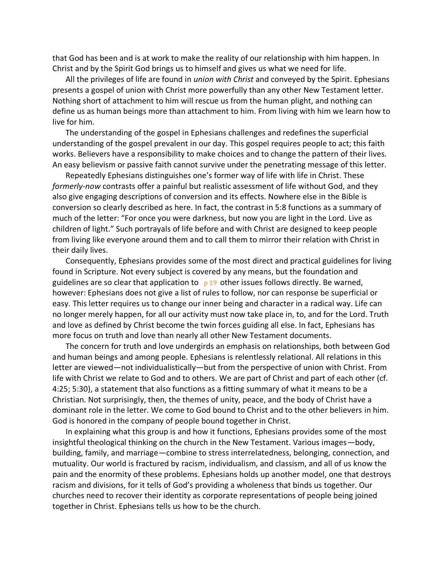that God has been and is at work to make the reality of our relationship with him happen. In Christ and by the Spirit God brings us to himself and gives us what we need for life.

All the privileges of life are found in *union with Christ* and conveyed by the Spirit. Ephesians presents a gospel of union with Christ more powerfully than any other New Testament letter. Nothing short of attachment to him will rescue us from the human plight, and nothing can define us as human beings more than attachment to him. From living with him we learn how to live for him.

The understanding of the gospel in Ephesians challenges and redefines the superficial understanding of the gospel prevalent in our day. This gospel requires people to act; this faith works. Believers have a responsibility to make choices and to change the pattern of their lives. An easy believism or passive faith cannot survive under the penetrating message of this letter.

Repeatedly Ephesians distinguishes one's former way of life with life in Christ. These *formerly-now* contrasts offer a painful but realistic assessment of life without God, and they also give engaging descriptions of conversion and its effects. Nowhere else in the Bible is conversion so clearly described as here. In fact, the contrast in 5:8 functions as a summary of much of the letter: "For once you were darkness, but now you are light in the Lord. Live as children of light." Such portrayals of life before and with Christ are designed to keep people from living like everyone around them and to call them to mirror their relation with Christ in their daily lives.

Consequently, Ephesians provides some of the most direct and practical guidelines for living found in Scripture. Not every subject is covered by any means, but the foundation and guidelines are so clear that application to  $p_1$  19 other issues follows directly. Be warned, however: Ephesians does not give a list of rules to follow, nor can response be superficial or easy. This letter requires us to change our inner being and character in a radical way. Life can no longer merely happen, for all our activity must now take place in, to, and for the Lord. Truth and love as defined by Christ become the twin forces guiding all else. In fact, Ephesians has more focus on truth and love than nearly all other New Testament documents.

The concern for truth and love undergirds an emphasis on relationships, both between God and human beings and among people. Ephesians is relentlessly relational. All relations in this letter are viewed—not individualistically—but from the perspective of union with Christ. From life with Christ we relate to God and to others. We are part of Christ and part of each other (cf. 4:25; 5:30), a statement that also functions as a fitting summary of what it means to be a Christian. Not surprisingly, then, the themes of unity, peace, and the body of Christ have a dominant role in the letter. We come to God bound to Christ and to the other believers in him. God is honored in the company of people bound together in Christ.

In explaining what this group is and how it functions, Ephesians provides some of the most insightful theological thinking on the church in the New Testament. Various images—body, building, family, and marriage—combine to stress interrelatedness, belonging, connection, and mutuality. Our world is fractured by racism, individualism, and classism, and all of us know the pain and the enormity of these problems. Ephesians holds up another model, one that destroys racism and divisions, for it tells of God's providing a wholeness that binds us together. Our churches need to recover their identity as corporate representations of people being joined together in Christ. Ephesians tells us how to be the church.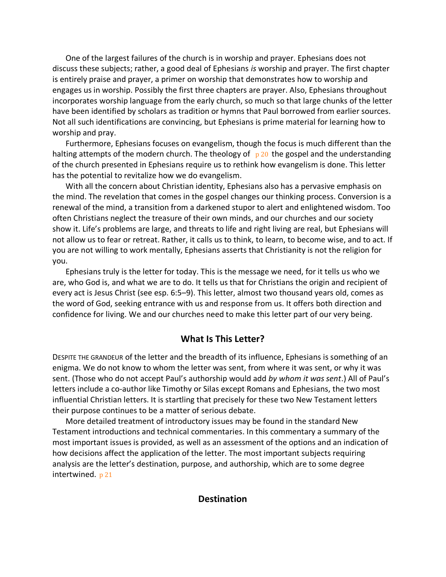One of the largest failures of the church is in worship and prayer. Ephesians does not discuss these subjects; rather, a good deal of Ephesians *is* worship and prayer. The first chapter is entirely praise and prayer, a primer on worship that demonstrates how to worship and engages us in worship. Possibly the first three chapters are prayer. Also, Ephesians throughout incorporates worship language from the early church, so much so that large chunks of the letter have been identified by scholars as tradition or hymns that Paul borrowed from earlier sources. Not all such identifications are convincing, but Ephesians is prime material for learning how to worship and pray.

Furthermore, Ephesians focuses on evangelism, though the focus is much different than the halting attempts of the modern church. The theology of  $p 20$  the gospel and the understanding of the church presented in Ephesians require us to rethink how evangelism is done. This letter has the potential to revitalize how we do evangelism.

With all the concern about Christian identity, Ephesians also has a pervasive emphasis on the mind. The revelation that comes in the gospel changes our thinking process. Conversion is a renewal of the mind, a transition from a darkened stupor to alert and enlightened wisdom. Too often Christians neglect the treasure of their own minds, and our churches and our society show it. Life's problems are large, and threats to life and right living are real, but Ephesians will not allow us to fear or retreat. Rather, it calls us to think, to learn, to become wise, and to act. If you are not willing to work mentally, Ephesians asserts that Christianity is not the religion for you.

Ephesians truly is the letter for today. This is the message we need, for it tells us who we are, who God is, and what we are to do. It tells us that for Christians the origin and recipient of every act is Jesus Christ (see esp. 6:5–9). This letter, almost two thousand years old, comes as the word of God, seeking entrance with us and response from us. It offers both direction and confidence for living. We and our churches need to make this letter part of our very being.

## **What Is This Letter?**

DESPITE THE GRANDEUR of the letter and the breadth of its influence, Ephesians is something of an enigma. We do not know to whom the letter was sent, from where it was sent, or why it was sent. (Those who do not accept Paul's authorship would add *by whom it was sent*.) All of Paul's letters include a co-author like Timothy or Silas except Romans and Ephesians, the two most influential Christian letters. It is startling that precisely for these two New Testament letters their purpose continues to be a matter of serious debate.

More detailed treatment of introductory issues may be found in the standard New Testament introductions and technical commentaries. In this commentary a summary of the most important issues is provided, as well as an assessment of the options and an indication of how decisions affect the application of the letter. The most important subjects requiring analysis are the letter's destination, purpose, and authorship, which are to some degree intertwined. p 21

#### **Destination**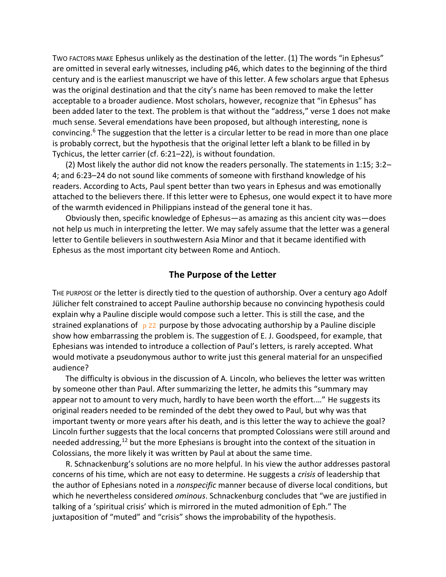TWO FACTORS MAKE Ephesus unlikely as the destination of the letter. (1) The words "in Ephesus" are omitted in several early witnesses, including p46, which dates to the beginning of the third century and is the earliest manuscript we have of this letter. A few scholars argue that Ephesus was the original destination and that the city's name has been removed to make the letter acceptable to a broader audience. Most scholars, however, recognize that "in Ephesus" has been added later to the text. The problem is that without the "address," verse 1 does not make much sense. Several emendations have been proposed, but although interesting, none is convincing. $6$  The suggestion that the letter is a circular letter to be read in more than one place is probably correct, but the hypothesis that the original letter left a blank to be filled in by Tychicus, the letter carrier (cf. 6:21–22), is without foundation.

(2) Most likely the author did not know the readers personally. The statements in 1:15; 3:2– 4; and 6:23–24 do not sound like comments of someone with firsthand knowledge of his readers. According to Acts, Paul spent better than two years in Ephesus and was emotionally attached to the believers there. If this letter were to Ephesus, one would expect it to have more of the warmth evidenced in Philippians instead of the general tone it has.

Obviously then, specific knowledge of Ephesus—as amazing as this ancient city was—does not help us much in interpreting the letter. We may safely assume that the letter was a general letter to Gentile believers in southwestern Asia Minor and that it became identified with Ephesus as the most important city between Rome and Antioch.

### **The Purpose of the Letter**

THE PURPOSE OF the letter is directly tied to the question of authorship. Over a century ago Adolf Jülicher felt constrained to accept Pauline authorship because no convincing hypothesis could explain why a Pauline disciple would compose such a letter. This is still the case, and the strained explanations of  $p 22$  purpose by those advocating authorship by a Pauline disciple show how embarrassing the problem is. The suggestion of E. J. Goodspeed, for example, that Ephesians was intended to introduce a collection of Paul's letters, is rarely accepted. What would motivate a pseudonymous author to write just this general material for an unspecified audience?

The difficulty is obvious in the discussion of A. Lincoln, who believes the letter was written by someone other than Paul. After summarizing the letter, he admits this "summary may appear not to amount to very much, hardly to have been worth the effort.…" He suggests its original readers needed to be reminded of the debt they owed to Paul, but why was that important twenty or more years after his death, and is this letter the way to achieve the goal? Lincoln further suggests that the local concerns that prompted Colossians were still around and needed addressing, $12$  but the more Ephesians is brought into the context of the situation in Colossians, the more likely it was written by Paul at about the same time.

R. Schnackenburg's solutions are no more helpful. In his view the author addresses pastoral concerns of his time, which are not easy to determine. He suggests a *crisis* of leadership that the author of Ephesians noted in a *nonspecific* manner because of diverse local conditions, but which he nevertheless considered *ominous*. Schnackenburg concludes that "we are justified in talking of a 'spiritual crisis' which is mirrored in the muted admonition of Eph." The juxtaposition of "muted" and "crisis" shows the improbability of the hypothesis.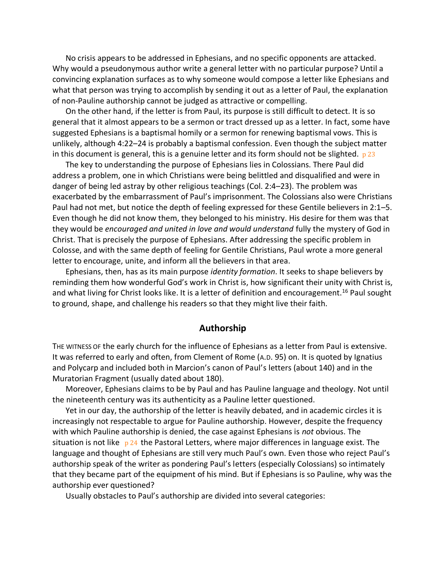No crisis appears to be addressed in Ephesians, and no specific opponents are attacked. Why would a pseudonymous author write a general letter with no particular purpose? Until a convincing explanation surfaces as to why someone would compose a letter like Ephesians and what that person was trying to accomplish by sending it out as a letter of Paul, the explanation of non-Pauline authorship cannot be judged as attractive or compelling.

On the other hand, if the letter is from Paul, its purpose is still difficult to detect. It is so general that it almost appears to be a sermon or tract dressed up as a letter. In fact, some have suggested Ephesians is a baptismal homily or a sermon for renewing baptismal vows. This is unlikely, although 4:22–24 is probably a baptismal confession. Even though the subject matter in this document is general, this is a genuine letter and its form should not be slighted.  $p/23$ 

The key to understanding the purpose of Ephesians lies in Colossians. There Paul did address a problem, one in which Christians were being belittled and disqualified and were in danger of being led astray by other religious teachings (Col. 2:4–23). The problem was exacerbated by the embarrassment of Paul's imprisonment. The Colossians also were Christians Paul had not met, but notice the depth of feeling expressed for these Gentile believers in 2:1–5. Even though he did not know them, they belonged to his ministry. His desire for them was that they would be *encouraged and united in love and would understand* fully the mystery of God in Christ. That is precisely the purpose of Ephesians. After addressing the specific problem in Colosse, and with the same depth of feeling for Gentile Christians, Paul wrote a more general letter to encourage, unite, and inform all the believers in that area.

Ephesians, then, has as its main purpose *identity formation*. It seeks to shape believers by reminding them how wonderful God's work in Christ is, how significant their unity with Christ is, and what living for Christ looks like. It is a letter of definition and encouragement.<sup>16</sup> Paul sought to ground, shape, and challenge his readers so that they might live their faith.

#### **Authorship**

THE WITNESS OF the early church for the influence of Ephesians as a letter from Paul is extensive. It was referred to early and often, from Clement of Rome (A.D. 95) on. It is quoted by Ignatius and Polycarp and included both in Marcion's canon of Paul's letters (about 140) and in the Muratorian Fragment (usually dated about 180).

Moreover, Ephesians claims to be by Paul and has Pauline language and theology. Not until the nineteenth century was its authenticity as a Pauline letter questioned.

Yet in our day, the authorship of the letter is heavily debated, and in academic circles it is increasingly not respectable to argue for Pauline authorship. However, despite the frequency with which Pauline authorship is denied, the case against Ephesians is *not* obvious. The situation is not like  $p \, 24$  the Pastoral Letters, where major differences in language exist. The language and thought of Ephesians are still very much Paul's own. Even those who reject Paul's authorship speak of the writer as pondering Paul's letters (especially Colossians) so intimately that they became part of the equipment of his mind. But if Ephesians is so Pauline, why was the authorship ever questioned?

Usually obstacles to Paul's authorship are divided into several categories: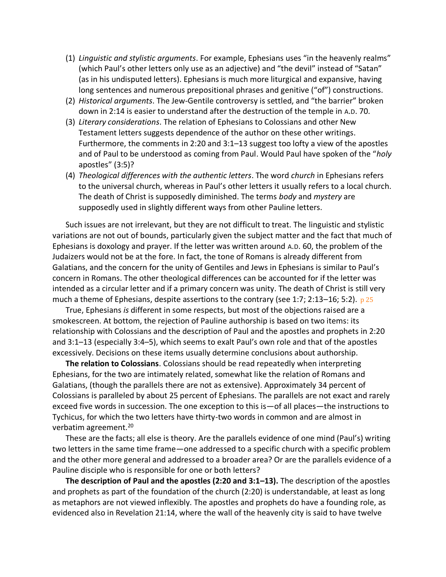- (1) *Linguistic and stylistic arguments*. For example, Ephesians uses "in the heavenly realms" (which Paul's other letters only use as an adjective) and "the devil" instead of "Satan" (as in his undisputed letters). Ephesians is much more liturgical and expansive, having long sentences and numerous prepositional phrases and genitive ("of") constructions.
- (2) *Historical arguments*. The Jew-Gentile controversy is settled, and "the barrier" broken down in 2:14 is easier to understand after the destruction of the temple in A.D. 70.
- (3) *Literary considerations*. The relation of Ephesians to Colossians and other New Testament letters suggests dependence of the author on these other writings. Furthermore, the comments in 2:20 and 3:1–13 suggest too lofty a view of the apostles and of Paul to be understood as coming from Paul. Would Paul have spoken of the "*holy* apostles" (3:5)?
- (4) *Theological differences with the authentic letters*. The word *church* in Ephesians refers to the universal church, whereas in Paul's other letters it usually refers to a local church. The death of Christ is supposedly diminished. The terms *body* and *mystery* are supposedly used in slightly different ways from other Pauline letters.

Such issues are not irrelevant, but they are not difficult to treat. The linguistic and stylistic variations are not out of bounds, particularly given the subject matter and the fact that much of Ephesians is doxology and prayer. If the letter was written around A.D. 60, the problem of the Judaizers would not be at the fore. In fact, the tone of Romans is already different from Galatians, and the concern for the unity of Gentiles and Jews in Ephesians is similar to Paul's concern in Romans. The other theological differences can be accounted for if the letter was intended as a circular letter and if a primary concern was unity. The death of Christ is still very much a theme of Ephesians, despite assertions to the contrary (see 1:7; 2:13–16; 5:2).  $p \times 25$ 

True, Ephesians *is* different in some respects, but most of the objections raised are a smokescreen. At bottom, the rejection of Pauline authorship is based on two items: its relationship with Colossians and the description of Paul and the apostles and prophets in 2:20 and 3:1–13 (especially 3:4–5), which seems to exalt Paul's own role and that of the apostles excessively. Decisions on these items usually determine conclusions about authorship.

**The relation to Colossians**. Colossians should be read repeatedly when interpreting Ephesians, for the two are intimately related, somewhat like the relation of Romans and Galatians, (though the parallels there are not as extensive). Approximately 34 percent of Colossians is paralleled by about 25 percent of Ephesians. The parallels are not exact and rarely exceed five words in succession. The one exception to this is—of all places—the instructions to Tychicus, for which the two letters have thirty-two words in common and are almost in verbatim agreement.<sup>20</sup>

These are the facts; all else is theory. Are the parallels evidence of one mind (Paul's) writing two letters in the same time frame—one addressed to a specific church with a specific problem and the other more general and addressed to a broader area? Or are the parallels evidence of a Pauline disciple who is responsible for one or both letters?

**The description of Paul and the apostles (2:20 and 3:1–13).** The description of the apostles and prophets as part of the foundation of the church (2:20) is understandable, at least as long as metaphors are not viewed inflexibly. The apostles and prophets do have a founding role, as evidenced also in Revelation 21:14, where the wall of the heavenly city is said to have twelve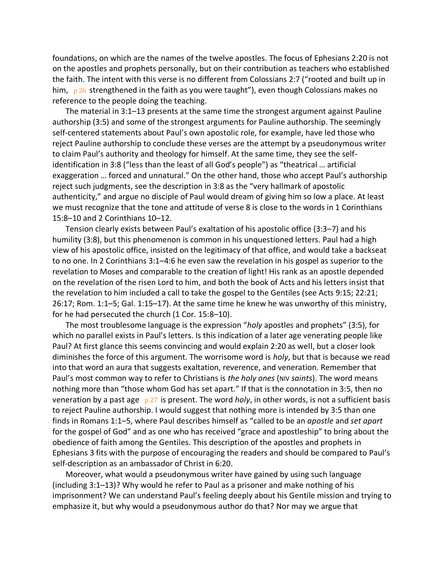foundations, on which are the names of the twelve apostles. The focus of Ephesians 2:20 is not on the apostles and prophets personally, but on their contribution as teachers who established the faith. The intent with this verse is no different from Colossians 2:7 ("rooted and built up in him,  $p \, 26$  strengthened in the faith as you were taught"), even though Colossians makes no reference to the people doing the teaching.

The material in 3:1–13 presents at the same time the strongest argument against Pauline authorship (3:5) and some of the strongest arguments for Pauline authorship. The seemingly self-centered statements about Paul's own apostolic role, for example, have led those who reject Pauline authorship to conclude these verses are the attempt by a pseudonymous writer to claim Paul's authority and theology for himself. At the same time, they see the selfidentification in 3:8 ("less than the least of all God's people") as "theatrical … artificial exaggeration … forced and unnatural." On the other hand, those who accept Paul's authorship reject such judgments, see the description in 3:8 as the "very hallmark of apostolic authenticity," and argue no disciple of Paul would dream of giving him so low a place. At least we must recognize that the tone and attitude of verse 8 is close to the words in 1 Corinthians 15:8–10 and 2 Corinthians 10–12.

Tension clearly exists between Paul's exaltation of his apostolic office (3:3–7) and his humility (3:8), but this phenomenon is common in his unquestioned letters. Paul had a high view of his apostolic office, insisted on the legitimacy of that office, and would take a backseat to no one. In 2 Corinthians 3:1–4:6 he even saw the revelation in his gospel as superior to the revelation to Moses and comparable to the creation of light! His rank as an apostle depended on the revelation of the risen Lord to him, and both the book of Acts and his letters insist that the revelation to him included a call to take the gospel to the Gentiles (see Acts 9:15; 22:21; 26:17; Rom. 1:1–5; Gal. 1:15–17). At the same time he knew he was unworthy of this ministry, for he had persecuted the church (1 Cor. 15:8–10).

The most troublesome language is the expression "*holy* apostles and prophets" (3:5), for which no parallel exists in Paul's letters. Is this indication of a later age venerating people like Paul? At first glance this seems convincing and would explain 2:20 as well, but a closer look diminishes the force of this argument. The worrisome word is *holy*, but that is because we read into that word an aura that suggests exaltation, reverence, and veneration. Remember that Paul's most common way to refer to Christians is *the holy ones* (NIV *saints*). The word means nothing more than "those whom God has set apart." If that is the connotation in 3:5, then no veneration by a past age p 27 is present. The word *holy*, in other words, is not a sufficient basis to reject Pauline authorship. I would suggest that nothing more is intended by 3:5 than one finds in Romans 1:1–5, where Paul describes himself as "called to be an *apostle* and *set apart* for the gospel of God" and as one who has received "grace and apostleship" to bring about the obedience of faith among the Gentiles. This description of the apostles and prophets in Ephesians 3 fits with the purpose of encouraging the readers and should be compared to Paul's self-description as an ambassador of Christ in 6:20.

Moreover, what would a pseudonymous writer have gained by using such language (including 3:1–13)? Why would he refer to Paul as a prisoner and make nothing of his imprisonment? We can understand Paul's feeling deeply about his Gentile mission and trying to emphasize it, but why would a pseudonymous author do that? Nor may we argue that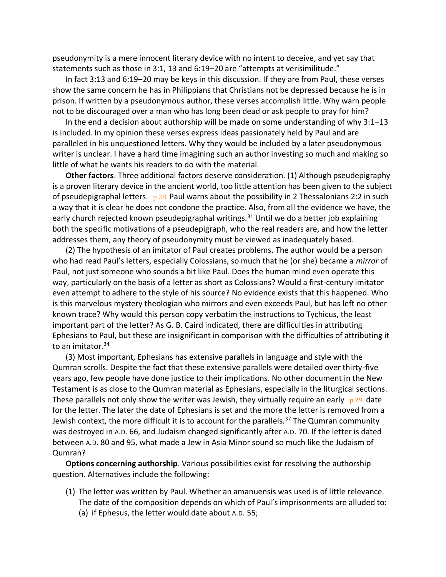pseudonymity is a mere innocent literary device with no intent to deceive, and yet say that statements such as those in 3:1, 13 and 6:19–20 are "attempts at verisimilitude."

In fact 3:13 and 6:19–20 may be keys in this discussion. If they are from Paul, these verses show the same concern he has in Philippians that Christians not be depressed because he is in prison. If written by a pseudonymous author, these verses accomplish little. Why warn people not to be discouraged over a man who has long been dead or ask people to pray for him?

In the end a decision about authorship will be made on some understanding of why  $3:1-13$ is included. In my opinion these verses express ideas passionately held by Paul and are paralleled in his unquestioned letters. Why they would be included by a later pseudonymous writer is unclear. I have a hard time imagining such an author investing so much and making so little of what he wants his readers to do with the material.

**Other factors**. Three additional factors deserve consideration. (1) Although pseudepigraphy is a proven literary device in the ancient world, too little attention has been given to the subject of pseudepigraphal letters.  $p 28$  Paul warns about the possibility in 2 Thessalonians 2:2 in such a way that it is clear he does not condone the practice. Also, from all the evidence we have, the early church rejected known pseudepigraphal writings.<sup>31</sup> Until we do a better job explaining both the specific motivations of a pseudepigraph, who the real readers are, and how the letter addresses them, any theory of pseudonymity must be viewed as inadequately based.

(2) The hypothesis of an imitator of Paul creates problems. The author would be a person who had read Paul's letters, especially Colossians, so much that he (or she) became a *mirror* of Paul, not just someone who sounds a bit like Paul. Does the human mind even operate this way, particularly on the basis of a letter as short as Colossians? Would a first-century imitator even attempt to adhere to the style of his source? No evidence exists that this happened. Who is this marvelous mystery theologian who mirrors and even exceeds Paul, but has left no other known trace? Why would this person copy verbatim the instructions to Tychicus, the least important part of the letter? As G. B. Caird indicated, there are difficulties in attributing Ephesians to Paul, but these are insignificant in comparison with the difficulties of attributing it to an imitator.<sup>34</sup>

(3) Most important, Ephesians has extensive parallels in language and style with the Qumran scrolls. Despite the fact that these extensive parallels were detailed over thirty-five years ago, few people have done justice to their implications. No other document in the New Testament is as close to the Qumran material as Ephesians, especially in the liturgical sections. These parallels not only show the writer was Jewish, they virtually require an early  $p$   $29$  date for the letter. The later the date of Ephesians is set and the more the letter is removed from a Jewish context, the more difficult it is to account for the parallels.<sup>37</sup> The Qumran community was destroyed in A.D. 66, and Judaism changed significantly after A.D. 70. If the letter is dated between A.D. 80 and 95, what made a Jew in Asia Minor sound so much like the Judaism of Qumran?

**Options concerning authorship**. Various possibilities exist for resolving the authorship question. Alternatives include the following:

- (1) The letter was written by Paul. Whether an amanuensis was used is of little relevance. The date of the composition depends on which of Paul's imprisonments are alluded to:
	- (a) if Ephesus, the letter would date about A.D. 55;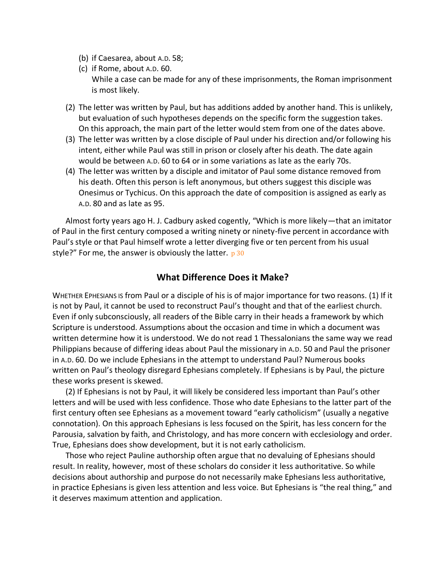- (b) if Caesarea, about A.D. 58;
- (c) if Rome, about A.D. 60. While a case can be made for any of these imprisonments, the Roman imprisonment is most likely.
- (2) The letter was written by Paul, but has additions added by another hand. This is unlikely, but evaluation of such hypotheses depends on the specific form the suggestion takes. On this approach, the main part of the letter would stem from one of the dates above.
- (3) The letter was written by a close disciple of Paul under his direction and/or following his intent, either while Paul was still in prison or closely after his death. The date again would be between A.D. 60 to 64 or in some variations as late as the early 70s.
- (4) The letter was written by a disciple and imitator of Paul some distance removed from his death. Often this person is left anonymous, but others suggest this disciple was Onesimus or Tychicus. On this approach the date of composition is assigned as early as A.D. 80 and as late as 95.

Almost forty years ago H. J. Cadbury asked cogently, "Which is more likely—that an imitator of Paul in the first century composed a writing ninety or ninety-five percent in accordance with Paul's style or that Paul himself wrote a letter diverging five or ten percent from his usual style?" For me, the answer is obviously the latter.  $p_{1}^{30}$ 

## **What Difference Does it Make?**

WHETHER EPHESIANS IS from Paul or a disciple of his is of major importance for two reasons. (1) If it is not by Paul, it cannot be used to reconstruct Paul's thought and that of the earliest church. Even if only subconsciously, all readers of the Bible carry in their heads a framework by which Scripture is understood. Assumptions about the occasion and time in which a document was written determine how it is understood. We do not read 1 Thessalonians the same way we read Philippians because of differing ideas about Paul the missionary in A.D. 50 and Paul the prisoner in A.D. 60. Do we include Ephesians in the attempt to understand Paul? Numerous books written on Paul's theology disregard Ephesians completely. If Ephesians is by Paul, the picture these works present is skewed.

(2) If Ephesians is not by Paul, it will likely be considered less important than Paul's other letters and will be used with less confidence. Those who date Ephesians to the latter part of the first century often see Ephesians as a movement toward "early catholicism" (usually a negative connotation). On this approach Ephesians is less focused on the Spirit, has less concern for the Parousia, salvation by faith, and Christology, and has more concern with ecclesiology and order. True, Ephesians does show development, but it is not early catholicism.

Those who reject Pauline authorship often argue that no devaluing of Ephesians should result. In reality, however, most of these scholars do consider it less authoritative. So while decisions about authorship and purpose do not necessarily make Ephesians less authoritative, in practice Ephesians is given less attention and less voice. But Ephesians is "the real thing," and it deserves maximum attention and application.